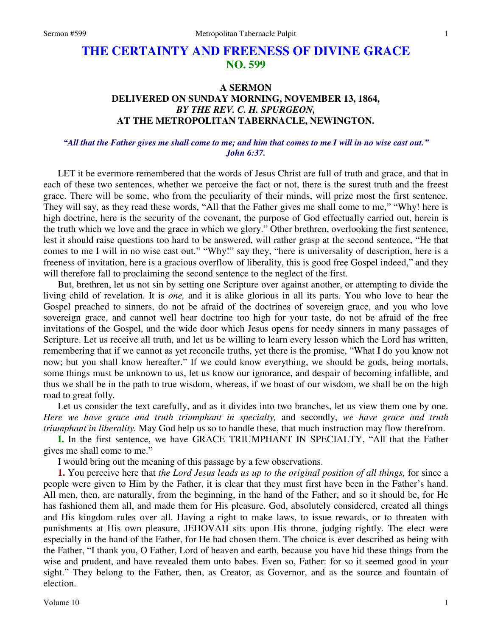# **THE CERTAINTY AND FREENESS OF DIVINE GRACE NO. 599**

# **A SERMON DELIVERED ON SUNDAY MORNING, NOVEMBER 13, 1864,**  *BY THE REV. C. H. SPURGEON,*  **AT THE METROPOLITAN TABERNACLE, NEWINGTON.**

# *"All that the Father gives me shall come to me; and him that comes to me I will in no wise cast out." John 6:37.*

LET it be evermore remembered that the words of Jesus Christ are full of truth and grace, and that in each of these two sentences, whether we perceive the fact or not, there is the surest truth and the freest grace. There will be some, who from the peculiarity of their minds, will prize most the first sentence. They will say, as they read these words, "All that the Father gives me shall come to me," "Why! here is high doctrine, here is the security of the covenant, the purpose of God effectually carried out, herein is the truth which we love and the grace in which we glory." Other brethren, overlooking the first sentence, lest it should raise questions too hard to be answered, will rather grasp at the second sentence, "He that comes to me I will in no wise cast out." "Why!" say they, "here is universality of description, here is a freeness of invitation, here is a gracious overflow of liberality, this is good free Gospel indeed," and they will therefore fall to proclaiming the second sentence to the neglect of the first.

But, brethren, let us not sin by setting one Scripture over against another, or attempting to divide the living child of revelation. It is *one,* and it is alike glorious in all its parts. You who love to hear the Gospel preached to sinners, do not be afraid of the doctrines of sovereign grace, and you who love sovereign grace, and cannot well hear doctrine too high for your taste, do not be afraid of the free invitations of the Gospel, and the wide door which Jesus opens for needy sinners in many passages of Scripture. Let us receive all truth, and let us be willing to learn every lesson which the Lord has written, remembering that if we cannot as yet reconcile truths, yet there is the promise, "What I do you know not now; but you shall know hereafter." If we could know everything, we should be gods, being mortals, some things must be unknown to us, let us know our ignorance, and despair of becoming infallible, and thus we shall be in the path to true wisdom, whereas, if we boast of our wisdom, we shall be on the high road to great folly.

Let us consider the text carefully, and as it divides into two branches, let us view them one by one. *Here we have grace and truth triumphant in specialty,* and secondly, *we have grace and truth triumphant in liberality.* May God help us so to handle these, that much instruction may flow therefrom.

**I.** In the first sentence, we have GRACE TRIUMPHANT IN SPECIALTY, "All that the Father gives me shall come to me."

I would bring out the meaning of this passage by a few observations.

**1.** You perceive here that *the Lord Jesus leads us up to the original position of all things,* for since a people were given to Him by the Father, it is clear that they must first have been in the Father's hand. All men, then, are naturally, from the beginning, in the hand of the Father, and so it should be, for He has fashioned them all, and made them for His pleasure. God, absolutely considered, created all things and His kingdom rules over all. Having a right to make laws, to issue rewards, or to threaten with punishments at His own pleasure, JEHOVAH sits upon His throne, judging rightly. The elect were especially in the hand of the Father, for He had chosen them. The choice is ever described as being with the Father, "I thank you, O Father, Lord of heaven and earth, because you have hid these things from the wise and prudent, and have revealed them unto babes. Even so, Father: for so it seemed good in your sight." They belong to the Father, then, as Creator, as Governor, and as the source and fountain of election.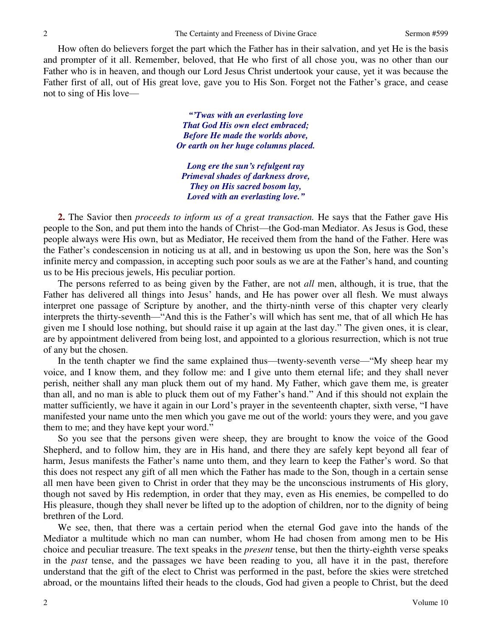How often do believers forget the part which the Father has in their salvation, and yet He is the basis and prompter of it all. Remember, beloved, that He who first of all chose you, was no other than our Father who is in heaven, and though our Lord Jesus Christ undertook your cause, yet it was because the Father first of all, out of His great love, gave you to His Son. Forget not the Father's grace, and cease not to sing of His love—

> *"'Twas with an everlasting love That God His own elect embraced; Before He made the worlds above, Or earth on her huge columns placed.*

*Long ere the sun's refulgent ray Primeval shades of darkness drove, They on His sacred bosom lay, Loved with an everlasting love."*

**2.** The Savior then *proceeds to inform us of a great transaction.* He says that the Father gave His people to the Son, and put them into the hands of Christ—the God-man Mediator. As Jesus is God, these people always were His own, but as Mediator, He received them from the hand of the Father. Here was the Father's condescension in noticing us at all, and in bestowing us upon the Son, here was the Son's infinite mercy and compassion, in accepting such poor souls as we are at the Father's hand, and counting us to be His precious jewels, His peculiar portion.

The persons referred to as being given by the Father, are not *all* men, although, it is true, that the Father has delivered all things into Jesus' hands, and He has power over all flesh. We must always interpret one passage of Scripture by another, and the thirty-ninth verse of this chapter very clearly interprets the thirty-seventh—"And this is the Father's will which has sent me, that of all which He has given me I should lose nothing, but should raise it up again at the last day." The given ones, it is clear, are by appointment delivered from being lost, and appointed to a glorious resurrection, which is not true of any but the chosen.

In the tenth chapter we find the same explained thus—twenty-seventh verse—"My sheep hear my voice, and I know them, and they follow me: and I give unto them eternal life; and they shall never perish, neither shall any man pluck them out of my hand. My Father, which gave them me, is greater than all, and no man is able to pluck them out of my Father's hand." And if this should not explain the matter sufficiently, we have it again in our Lord's prayer in the seventeenth chapter, sixth verse, "I have manifested your name unto the men which you gave me out of the world: yours they were, and you gave them to me; and they have kept your word."

So you see that the persons given were sheep, they are brought to know the voice of the Good Shepherd, and to follow him, they are in His hand, and there they are safely kept beyond all fear of harm, Jesus manifests the Father's name unto them, and they learn to keep the Father's word. So that this does not respect any gift of all men which the Father has made to the Son, though in a certain sense all men have been given to Christ in order that they may be the unconscious instruments of His glory, though not saved by His redemption, in order that they may, even as His enemies, be compelled to do His pleasure, though they shall never be lifted up to the adoption of children, nor to the dignity of being brethren of the Lord.

We see, then, that there was a certain period when the eternal God gave into the hands of the Mediator a multitude which no man can number, whom He had chosen from among men to be His choice and peculiar treasure. The text speaks in the *present* tense, but then the thirty-eighth verse speaks in the *past* tense, and the passages we have been reading to you, all have it in the past, therefore understand that the gift of the elect to Christ was performed in the past, before the skies were stretched abroad, or the mountains lifted their heads to the clouds, God had given a people to Christ, but the deed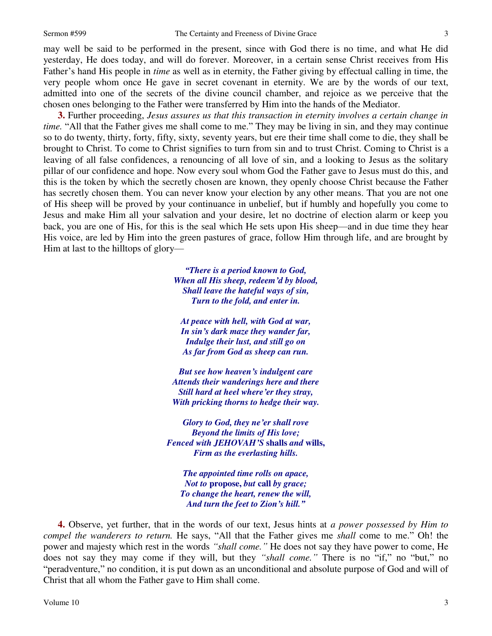may well be said to be performed in the present, since with God there is no time, and what He did yesterday, He does today, and will do forever. Moreover, in a certain sense Christ receives from His Father's hand His people in *time* as well as in eternity, the Father giving by effectual calling in time, the very people whom once He gave in secret covenant in eternity. We are by the words of our text, admitted into one of the secrets of the divine council chamber, and rejoice as we perceive that the chosen ones belonging to the Father were transferred by Him into the hands of the Mediator.

**3.** Further proceeding, *Jesus assures us that this transaction in eternity involves a certain change in time.* "All that the Father gives me shall come to me." They may be living in sin, and they may continue so to do twenty, thirty, forty, fifty, sixty, seventy years, but ere their time shall come to die, they shall be brought to Christ. To come to Christ signifies to turn from sin and to trust Christ. Coming to Christ is a leaving of all false confidences, a renouncing of all love of sin, and a looking to Jesus as the solitary pillar of our confidence and hope. Now every soul whom God the Father gave to Jesus must do this, and this is the token by which the secretly chosen are known, they openly choose Christ because the Father has secretly chosen them. You can never know your election by any other means. That you are not one of His sheep will be proved by your continuance in unbelief, but if humbly and hopefully you come to Jesus and make Him all your salvation and your desire, let no doctrine of election alarm or keep you back, you are one of His, for this is the seal which He sets upon His sheep—and in due time they hear His voice, are led by Him into the green pastures of grace, follow Him through life, and are brought by Him at last to the hilltops of glory—

> *"There is a period known to God, When all His sheep, redeem'd by blood, Shall leave the hateful ways of sin, Turn to the fold, and enter in.*

*At peace with hell, with God at war, In sin's dark maze they wander far, Indulge their lust, and still go on As far from God as sheep can run.* 

*But see how heaven's indulgent care Attends their wanderings here and there Still hard at heel where'er they stray, With pricking thorns to hedge their way.* 

*Glory to God, they ne'er shall rove Beyond the limits of His love; Fenced with JEHOVAH'S* **shalls** *and* **wills,** *Firm as the everlasting hills.* 

*The appointed time rolls on apace, Not to* **propose,** *but* **call** *by grace; To change the heart, renew the will, And turn the feet to Zion's hill."*

**4.** Observe, yet further, that in the words of our text, Jesus hints at *a power possessed by Him to compel the wanderers to return.* He says, "All that the Father gives me *shall* come to me." Oh! the power and majesty which rest in the words *"shall come."* He does not say they have power to come, He does not say they may come if they will, but they *"shall come."* There is no "if," no "but," no "peradventure," no condition, it is put down as an unconditional and absolute purpose of God and will of Christ that all whom the Father gave to Him shall come.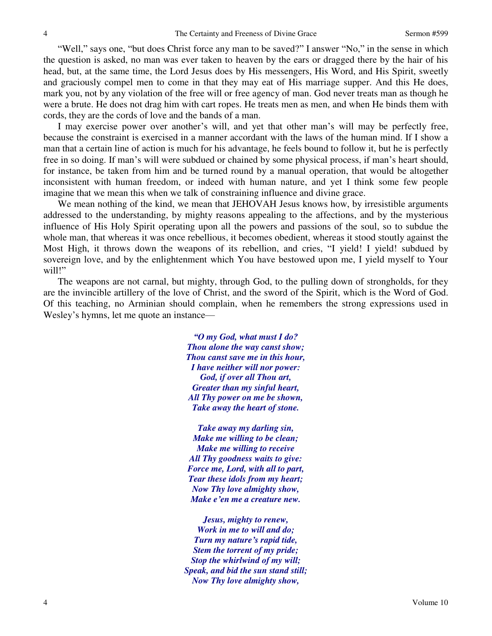"Well," says one, "but does Christ force any man to be saved?" I answer "No," in the sense in which the question is asked, no man was ever taken to heaven by the ears or dragged there by the hair of his head, but, at the same time, the Lord Jesus does by His messengers, His Word, and His Spirit, sweetly and graciously compel men to come in that they may eat of His marriage supper. And this He does, mark you, not by any violation of the free will or free agency of man. God never treats man as though he were a brute. He does not drag him with cart ropes. He treats men as men, and when He binds them with cords, they are the cords of love and the bands of a man.

I may exercise power over another's will, and yet that other man's will may be perfectly free, because the constraint is exercised in a manner accordant with the laws of the human mind. If I show a man that a certain line of action is much for his advantage, he feels bound to follow it, but he is perfectly free in so doing. If man's will were subdued or chained by some physical process, if man's heart should, for instance, be taken from him and be turned round by a manual operation, that would be altogether inconsistent with human freedom, or indeed with human nature, and yet I think some few people imagine that we mean this when we talk of constraining influence and divine grace.

We mean nothing of the kind, we mean that JEHOVAH Jesus knows how, by irresistible arguments addressed to the understanding, by mighty reasons appealing to the affections, and by the mysterious influence of His Holy Spirit operating upon all the powers and passions of the soul, so to subdue the whole man, that whereas it was once rebellious, it becomes obedient, whereas it stood stoutly against the Most High, it throws down the weapons of its rebellion, and cries, "I yield! I yield! subdued by sovereign love, and by the enlightenment which You have bestowed upon me, I yield myself to Your will!"

The weapons are not carnal, but mighty, through God, to the pulling down of strongholds, for they are the invincible artillery of the love of Christ, and the sword of the Spirit, which is the Word of God. Of this teaching, no Arminian should complain, when he remembers the strong expressions used in Wesley's hymns, let me quote an instance—

> *"O my God, what must I do? Thou alone the way canst show; Thou canst save me in this hour, I have neither will nor power: God, if over all Thou art, Greater than my sinful heart, All Thy power on me be shown, Take away the heart of stone.*

*Take away my darling sin, Make me willing to be clean; Make me willing to receive All Thy goodness waits to give: Force me, Lord, with all to part, Tear these idols from my heart; Now Thy love almighty show, Make e'en me a creature new.* 

*Jesus, mighty to renew, Work in me to will and do; Turn my nature's rapid tide, Stem the torrent of my pride; Stop the whirlwind of my will; Speak, and bid the sun stand still; Now Thy love almighty show,*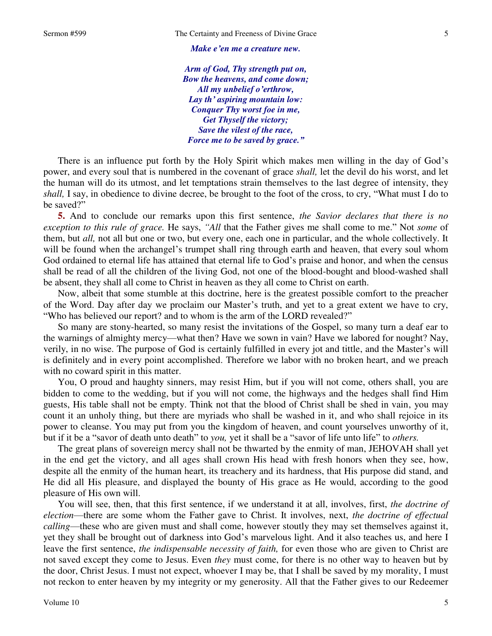#### *Make e'en me a creature new.*

*Arm of God, Thy strength put on, Bow the heavens, and come down; All my unbelief o'erthrow, Lay th' aspiring mountain low: Conquer Thy worst foe in me, Get Thyself the victory; Save the vilest of the race, Force me to be saved by grace."*

There is an influence put forth by the Holy Spirit which makes men willing in the day of God's power, and every soul that is numbered in the covenant of grace *shall,* let the devil do his worst, and let the human will do its utmost, and let temptations strain themselves to the last degree of intensity, they *shall,* I say, in obedience to divine decree, be brought to the foot of the cross, to cry, "What must I do to be saved?"

**5.** And to conclude our remarks upon this first sentence, *the Savior declares that there is no exception to this rule of grace.* He says, *"All* that the Father gives me shall come to me." Not *some* of them, but *all,* not all but one or two, but every one, each one in particular, and the whole collectively. It will be found when the archangel's trumpet shall ring through earth and heaven, that every soul whom God ordained to eternal life has attained that eternal life to God's praise and honor, and when the census shall be read of all the children of the living God, not one of the blood-bought and blood-washed shall be absent, they shall all come to Christ in heaven as they all come to Christ on earth.

Now, albeit that some stumble at this doctrine, here is the greatest possible comfort to the preacher of the Word. Day after day we proclaim our Master's truth, and yet to a great extent we have to cry, "Who has believed our report? and to whom is the arm of the LORD revealed?"

So many are stony-hearted, so many resist the invitations of the Gospel, so many turn a deaf ear to the warnings of almighty mercy—what then? Have we sown in vain? Have we labored for nought? Nay, verily, in no wise. The purpose of God is certainly fulfilled in every jot and tittle, and the Master's will is definitely and in every point accomplished. Therefore we labor with no broken heart, and we preach with no coward spirit in this matter.

You, O proud and haughty sinners, may resist Him, but if you will not come, others shall, you are bidden to come to the wedding, but if you will not come, the highways and the hedges shall find Him guests, His table shall not be empty. Think not that the blood of Christ shall be shed in vain, you may count it an unholy thing, but there are myriads who shall be washed in it, and who shall rejoice in its power to cleanse. You may put from you the kingdom of heaven, and count yourselves unworthy of it, but if it be a "savor of death unto death" to *you,* yet it shall be a "savor of life unto life" to *others.*

The great plans of sovereign mercy shall not be thwarted by the enmity of man, JEHOVAH shall yet in the end get the victory, and all ages shall crown His head with fresh honors when they see, how, despite all the enmity of the human heart, its treachery and its hardness, that His purpose did stand, and He did all His pleasure, and displayed the bounty of His grace as He would, according to the good pleasure of His own will.

You will see, then, that this first sentence, if we understand it at all, involves, first, *the doctrine of election*—there are some whom the Father gave to Christ. It involves, next, *the doctrine of effectual calling*—these who are given must and shall come, however stoutly they may set themselves against it, yet they shall be brought out of darkness into God's marvelous light. And it also teaches us, and here I leave the first sentence, *the indispensable necessity of faith,* for even those who are given to Christ are not saved except they come to Jesus. Even *they* must come, for there is no other way to heaven but by the door, Christ Jesus. I must not expect, whoever I may be, that I shall be saved by my morality, I must not reckon to enter heaven by my integrity or my generosity. All that the Father gives to our Redeemer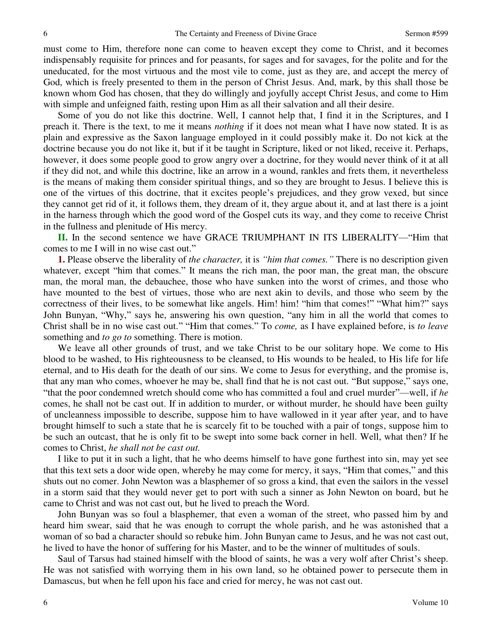must come to Him, therefore none can come to heaven except they come to Christ, and it becomes indispensably requisite for princes and for peasants, for sages and for savages, for the polite and for the uneducated, for the most virtuous and the most vile to come, just as they are, and accept the mercy of God, which is freely presented to them in the person of Christ Jesus. And, mark, by this shall those be known whom God has chosen, that they do willingly and joyfully accept Christ Jesus, and come to Him with simple and unfeigned faith, resting upon Him as all their salvation and all their desire.

Some of you do not like this doctrine. Well, I cannot help that, I find it in the Scriptures, and I preach it. There is the text, to me it means *nothing* if it does not mean what I have now stated. It is as plain and expressive as the Saxon language employed in it could possibly make it. Do not kick at the doctrine because you do not like it, but if it be taught in Scripture, liked or not liked, receive it. Perhaps, however, it does some people good to grow angry over a doctrine, for they would never think of it at all if they did not, and while this doctrine, like an arrow in a wound, rankles and frets them, it nevertheless is the means of making them consider spiritual things, and so they are brought to Jesus. I believe this is one of the virtues of this doctrine, that it excites people's prejudices, and they grow vexed, but since they cannot get rid of it, it follows them, they dream of it, they argue about it, and at last there is a joint in the harness through which the good word of the Gospel cuts its way, and they come to receive Christ in the fullness and plenitude of His mercy.

**II.** In the second sentence we have GRACE TRIUMPHANT IN ITS LIBERALITY—"Him that comes to me I will in no wise cast out."

**1.** Please observe the liberality of *the character,* it is *"him that comes."* There is no description given whatever, except "him that comes." It means the rich man, the poor man, the great man, the obscure man, the moral man, the debauchee, those who have sunken into the worst of crimes, and those who have mounted to the best of virtues, those who are next akin to devils, and those who seem by the correctness of their lives, to be somewhat like angels. Him! him! "him that comes!" "What him?" says John Bunyan, "Why," says he, answering his own question, "any him in all the world that comes to Christ shall be in no wise cast out." "Him that comes." To *come,* as I have explained before, is *to leave* something and *to go to* something. There is motion.

We leave all other grounds of trust, and we take Christ to be our solitary hope. We come to His blood to be washed, to His righteousness to be cleansed, to His wounds to be healed, to His life for life eternal, and to His death for the death of our sins. We come to Jesus for everything, and the promise is, that any man who comes, whoever he may be, shall find that he is not cast out. "But suppose," says one, "that the poor condemned wretch should come who has committed a foul and cruel murder"—well, if *he* comes, he shall not be cast out. If in addition to murder, or without murder, he should have been guilty of uncleanness impossible to describe, suppose him to have wallowed in it year after year, and to have brought himself to such a state that he is scarcely fit to be touched with a pair of tongs, suppose him to be such an outcast, that he is only fit to be swept into some back corner in hell. Well, what then? If he comes to Christ, *he shall not be cast out.*

I like to put it in such a light, that he who deems himself to have gone furthest into sin, may yet see that this text sets a door wide open, whereby he may come for mercy, it says, "Him that comes," and this shuts out no comer. John Newton was a blasphemer of so gross a kind, that even the sailors in the vessel in a storm said that they would never get to port with such a sinner as John Newton on board, but he came to Christ and was not cast out, but he lived to preach the Word.

John Bunyan was so foul a blasphemer, that even a woman of the street, who passed him by and heard him swear, said that he was enough to corrupt the whole parish, and he was astonished that a woman of so bad a character should so rebuke him. John Bunyan came to Jesus, and he was not cast out, he lived to have the honor of suffering for his Master, and to be the winner of multitudes of souls.

Saul of Tarsus had stained himself with the blood of saints, he was a very wolf after Christ's sheep. He was not satisfied with worrying them in his own land, so he obtained power to persecute them in Damascus, but when he fell upon his face and cried for mercy, he was not cast out.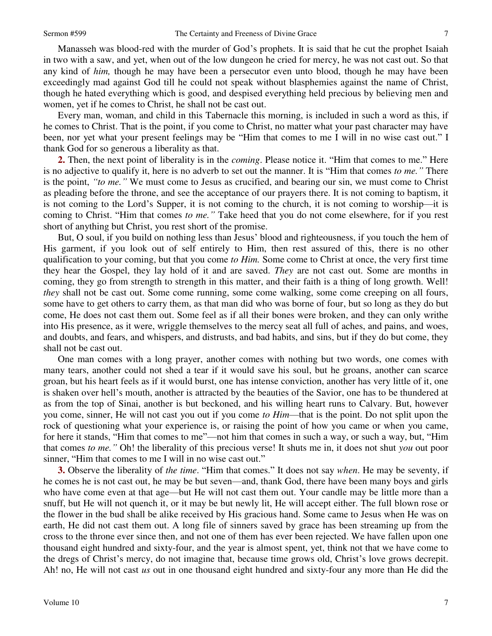Manasseh was blood-red with the murder of God's prophets. It is said that he cut the prophet Isaiah in two with a saw, and yet, when out of the low dungeon he cried for mercy, he was not cast out. So that any kind of *him,* though he may have been a persecutor even unto blood, though he may have been exceedingly mad against God till he could not speak without blasphemies against the name of Christ, though he hated everything which is good, and despised everything held precious by believing men and women, yet if he comes to Christ, he shall not be cast out.

Every man, woman, and child in this Tabernacle this morning, is included in such a word as this, if he comes to Christ. That is the point, if you come to Christ, no matter what your past character may have been, nor yet what your present feelings may be "Him that comes to me I will in no wise cast out." I thank God for so generous a liberality as that.

**2.** Then, the next point of liberality is in the *coming*. Please notice it. "Him that comes to me." Here is no adjective to qualify it, here is no adverb to set out the manner. It is "Him that comes *to me."* There is the point, *"to me."* We must come to Jesus as crucified, and bearing our sin, we must come to Christ as pleading before the throne, and see the acceptance of our prayers there. It is not coming to baptism, it is not coming to the Lord's Supper, it is not coming to the church, it is not coming to worship—it is coming to Christ. "Him that comes *to me."* Take heed that you do not come elsewhere, for if you rest short of anything but Christ, you rest short of the promise.

But, O soul, if you build on nothing less than Jesus' blood and righteousness, if you touch the hem of His garment, if you look out of self entirely to Him, then rest assured of this, there is no other qualification to your coming, but that you come *to Him.* Some come to Christ at once, the very first time they hear the Gospel, they lay hold of it and are saved. *They* are not cast out. Some are months in coming, they go from strength to strength in this matter, and their faith is a thing of long growth. Well! *they* shall not be cast out. Some come running, some come walking, some come creeping on all fours, some have to get others to carry them, as that man did who was borne of four, but so long as they do but come, He does not cast them out. Some feel as if all their bones were broken, and they can only writhe into His presence, as it were, wriggle themselves to the mercy seat all full of aches, and pains, and woes, and doubts, and fears, and whispers, and distrusts, and bad habits, and sins, but if they do but come, they shall not be cast out.

One man comes with a long prayer, another comes with nothing but two words, one comes with many tears, another could not shed a tear if it would save his soul, but he groans, another can scarce groan, but his heart feels as if it would burst, one has intense conviction, another has very little of it, one is shaken over hell's mouth, another is attracted by the beauties of the Savior, one has to be thundered at as from the top of Sinai, another is but beckoned, and his willing heart runs to Calvary. But, however you come, sinner, He will not cast you out if you come *to Him*—that is the point. Do not split upon the rock of questioning what your experience is, or raising the point of how you came or when you came, for here it stands, "Him that comes to me"—not him that comes in such a way, or such a way, but, "Him that comes *to me."* Oh! the liberality of this precious verse! It shuts me in, it does not shut *you* out poor sinner, "Him that comes to me I will in no wise cast out."

**3.** Observe the liberality of *the time*. "Him that comes." It does not say *when*. He may be seventy, if he comes he is not cast out, he may be but seven—and, thank God, there have been many boys and girls who have come even at that age—but He will not cast them out. Your candle may be little more than a snuff, but He will not quench it, or it may be but newly lit, He will accept either. The full blown rose or the flower in the bud shall be alike received by His gracious hand. Some came to Jesus when He was on earth, He did not cast them out. A long file of sinners saved by grace has been streaming up from the cross to the throne ever since then, and not one of them has ever been rejected. We have fallen upon one thousand eight hundred and sixty-four, and the year is almost spent, yet, think not that we have come to the dregs of Christ's mercy, do not imagine that, because time grows old, Christ's love grows decrepit. Ah! no, He will not cast *us* out in one thousand eight hundred and sixty-four any more than He did the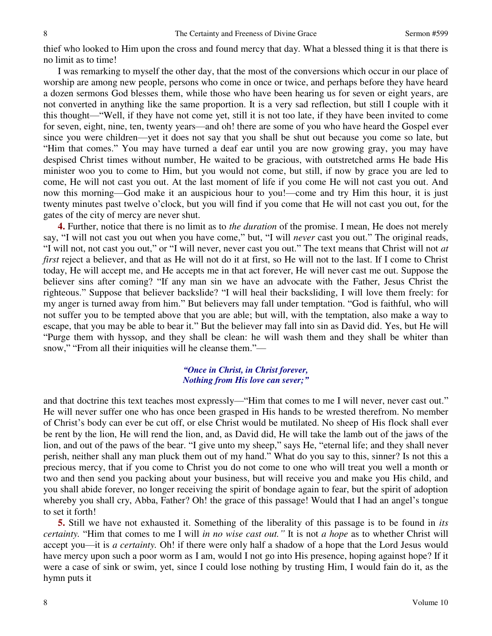thief who looked to Him upon the cross and found mercy that day. What a blessed thing it is that there is no limit as to time!

I was remarking to myself the other day, that the most of the conversions which occur in our place of worship are among new people, persons who come in once or twice, and perhaps before they have heard a dozen sermons God blesses them, while those who have been hearing us for seven or eight years, are not converted in anything like the same proportion. It is a very sad reflection, but still I couple with it this thought—"Well, if they have not come yet, still it is not too late, if they have been invited to come for seven, eight, nine, ten, twenty years—and oh! there are some of you who have heard the Gospel ever since you were children—yet it does not say that you shall be shut out because you come so late, but "Him that comes." You may have turned a deaf ear until you are now growing gray, you may have despised Christ times without number, He waited to be gracious, with outstretched arms He bade His minister woo you to come to Him, but you would not come, but still, if now by grace you are led to come, He will not cast you out. At the last moment of life if you come He will not cast you out. And now this morning—God make it an auspicious hour to you!—come and try Him this hour, it is just twenty minutes past twelve o'clock, but you will find if you come that He will not cast you out, for the gates of the city of mercy are never shut.

**4.** Further, notice that there is no limit as to *the duration* of the promise. I mean, He does not merely say, "I will not cast you out when you have come," but, "I will *never* cast you out." The original reads, "I will not, not cast you out," or "I will never, never cast you out." The text means that Christ will not *at first* reject a believer, and that as He will not do it at first, so He will not to the last. If I come to Christ today, He will accept me, and He accepts me in that act forever, He will never cast me out. Suppose the believer sins after coming? "If any man sin we have an advocate with the Father, Jesus Christ the righteous." Suppose that believer backslide? "I will heal their backsliding, I will love them freely: for my anger is turned away from him." But believers may fall under temptation. "God is faithful, who will not suffer you to be tempted above that you are able; but will, with the temptation, also make a way to escape, that you may be able to bear it." But the believer may fall into sin as David did. Yes, but He will "Purge them with hyssop, and they shall be clean: he will wash them and they shall be whiter than snow," "From all their iniquities will he cleanse them."—

## *"Once in Christ, in Christ forever, Nothing from His love can sever;"*

and that doctrine this text teaches most expressly—"Him that comes to me I will never, never cast out." He will never suffer one who has once been grasped in His hands to be wrested therefrom. No member of Christ's body can ever be cut off, or else Christ would be mutilated. No sheep of His flock shall ever be rent by the lion, He will rend the lion, and, as David did, He will take the lamb out of the jaws of the lion, and out of the paws of the bear. "I give unto my sheep," says He, "eternal life; and they shall never perish, neither shall any man pluck them out of my hand." What do you say to this, sinner? Is not this a precious mercy, that if you come to Christ you do not come to one who will treat you well a month or two and then send you packing about your business, but will receive you and make you His child, and you shall abide forever, no longer receiving the spirit of bondage again to fear, but the spirit of adoption whereby you shall cry, Abba, Father? Oh! the grace of this passage! Would that I had an angel's tongue to set it forth!

**5.** Still we have not exhausted it. Something of the liberality of this passage is to be found in *its certainty.* "Him that comes to me I will *in no wise cast out."* It is not *a hope* as to whether Christ will accept you—it is *a certainty.* Oh! if there were only half a shadow of a hope that the Lord Jesus would have mercy upon such a poor worm as I am, would I not go into His presence, hoping against hope? If it were a case of sink or swim, yet, since I could lose nothing by trusting Him, I would fain do it, as the hymn puts it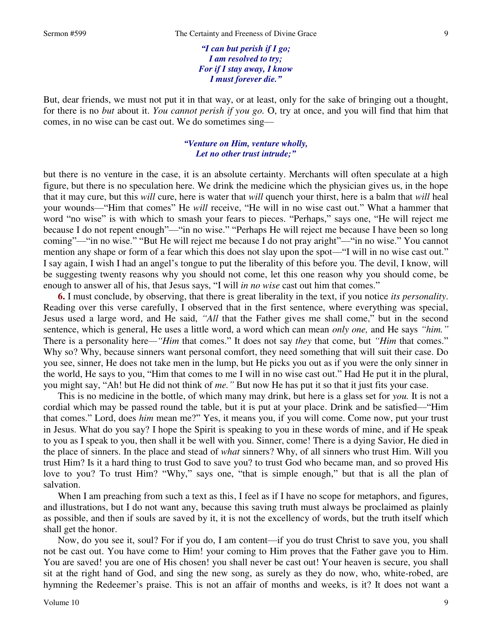*"I can but perish if I go; I am resolved to try; For if I stay away, I know I must forever die."*

But, dear friends, we must not put it in that way, or at least, only for the sake of bringing out a thought, for there is no *but* about it. *You cannot perish if you go.* O, try at once, and you will find that him that comes, in no wise can be cast out. We do sometimes sing—

### *"Venture on Him, venture wholly, Let no other trust intrude;"*

but there is no venture in the case, it is an absolute certainty. Merchants will often speculate at a high figure, but there is no speculation here. We drink the medicine which the physician gives us, in the hope that it may cure, but this *will* cure, here is water that *will* quench your thirst, here is a balm that *will* heal your wounds—"Him that comes" He *will* receive, "He will in no wise cast out." What a hammer that word "no wise" is with which to smash your fears to pieces. "Perhaps," says one, "He will reject me because I do not repent enough"—"in no wise." "Perhaps He will reject me because I have been so long coming"—"in no wise." "But He will reject me because I do not pray aright"—"in no wise." You cannot mention any shape or form of a fear which this does not slay upon the spot—"I will in no wise cast out." I say again, I wish I had an angel's tongue to put the liberality of this before you. The devil, I know, will be suggesting twenty reasons why you should not come, let this one reason why you should come, be enough to answer all of his, that Jesus says, "I will *in no wise* cast out him that comes."

**6.** I must conclude, by observing, that there is great liberality in the text, if you notice *its personality*. Reading over this verse carefully, I observed that in the first sentence, where everything was special, Jesus used a large word, and He said, *"All* that the Father gives me shall come," but in the second sentence, which is general, He uses a little word, a word which can mean *only one,* and He says *"him."* There is a personality here*—"Him* that comes." It does not say *they* that come, but *"Him* that comes." Why so? Why, because sinners want personal comfort, they need something that will suit their case. Do you see, sinner, He does not take men in the lump, but He picks you out as if you were the only sinner in the world, He says to you, "Him that comes to me I will in no wise cast out." Had He put it in the plural, you might say, "Ah! but He did not think of *me."* But now He has put it so that it just fits your case.

This is no medicine in the bottle, of which many may drink, but here is a glass set for *you.* It is not a cordial which may be passed round the table, but it is put at your place. Drink and be satisfied—"Him that comes." Lord, does *him* mean me?" Yes, it means you, if you will come. Come now, put your trust in Jesus. What do you say? I hope the Spirit is speaking to you in these words of mine, and if He speak to you as I speak to you, then shall it be well with you. Sinner, come! There is a dying Savior, He died in the place of sinners. In the place and stead of *what* sinners? Why, of all sinners who trust Him. Will you trust Him? Is it a hard thing to trust God to save you? to trust God who became man, and so proved His love to you? To trust Him? "Why," says one, "that is simple enough," but that is all the plan of salvation.

When I am preaching from such a text as this, I feel as if I have no scope for metaphors, and figures, and illustrations, but I do not want any, because this saving truth must always be proclaimed as plainly as possible, and then if souls are saved by it, it is not the excellency of words, but the truth itself which shall get the honor.

Now, do you see it, soul? For if you do, I am content—if you do trust Christ to save you, you shall not be cast out. You have come to Him! your coming to Him proves that the Father gave you to Him. You are saved! you are one of His chosen! you shall never be cast out! Your heaven is secure, you shall sit at the right hand of God, and sing the new song, as surely as they do now, who, white-robed, are hymning the Redeemer's praise. This is not an affair of months and weeks, is it? It does not want a